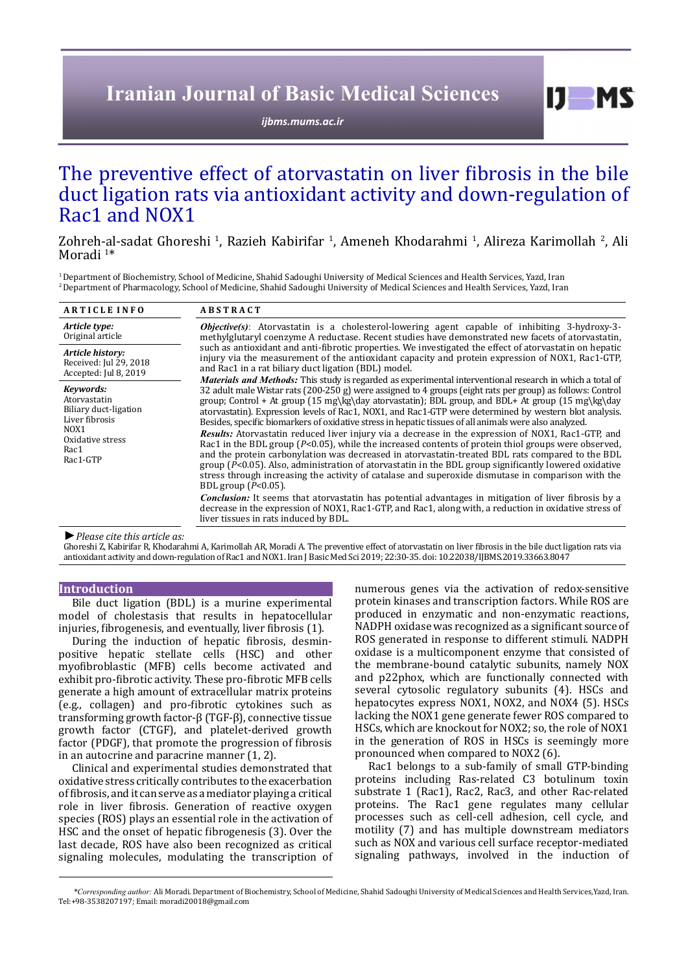# **Iranian Journal of Basic Medical Sciences**

*[ijbms.mums.ac.ir](http://ijbms.mums.ac.ir)*

# The preventive effect of atorvastatin on liver fibrosis in the bile duct ligation rats via antioxidant activity and down-regulation of Rac1 and NOX1

Zohreh-al-sadat Ghoreshi <sup>1</sup>, Razieh Kabirifar <sup>1</sup>, Ameneh Khodarahmi <sup>1</sup>, Alireza Karimollah <sup>2</sup>, Ali Moradi<sup>1\*</sup>

<sup>1</sup> Department of Biochemistry, School of Medicine, Shahid Sadoughi University of Medical Sciences and Health Services, Yazd, Iran 2 Department of Pharmacology, School of Medicine, Shahid Sadoughi University of Medical Sciences and Health Services, Yazd, Iran

| <b>ARTICLE INFO</b>                                                                                                              | <b>ABSTRACT</b>                                                                                                                                                                                                                                                                                                                                                                                                                                                                                                                                                                |
|----------------------------------------------------------------------------------------------------------------------------------|--------------------------------------------------------------------------------------------------------------------------------------------------------------------------------------------------------------------------------------------------------------------------------------------------------------------------------------------------------------------------------------------------------------------------------------------------------------------------------------------------------------------------------------------------------------------------------|
| Article type:<br>Original article                                                                                                | <b>Objective(s)</b> : Atorvastatin is a cholesterol-lowering agent capable of inhibiting 3-hydroxy-3-<br>methylglutaryl coenzyme A reductase. Recent studies have demonstrated new facets of atoryastatin,<br>such as antioxidant and anti-fibrotic properties. We investigated the effect of atoryastatin on hepatic<br>injury via the measurement of the antioxidant capacity and protein expression of NOX1, Rac1-GTP,<br>and Rac1 in a rat biliary duct ligation (BDL) model.                                                                                              |
| Article history:<br>Received: Jul 29, 2018<br>Accepted: Jul 8, 2019                                                              |                                                                                                                                                                                                                                                                                                                                                                                                                                                                                                                                                                                |
| Kevwords:<br>Atorvastatin<br>Biliary duct-ligation<br>Liver fibrosis<br>NOX <sub>1</sub><br>Oxidative stress<br>Rac1<br>Rac1-GTP | <i>Materials and Methods</i> : This study is regarded as experimental interventional research in which a total of<br>32 adult male Wistar rats (200-250 g) were assigned to 4 groups (eight rats per group) as follows: Control<br>group; Control + At group $(15 \text{ mg\kg})$ day atorvastatin); BDL group, and BDL+ At group $(15 \text{ mg\kg})$ day<br>atorvastatin). Expression levels of Rac1, NOX1, and Rac1-GTP were determined by western blot analysis.<br>Besides, specific biomarkers of oxidative stress in hepatic tissues of all animals were also analyzed. |
|                                                                                                                                  | <b>Results:</b> Atorvastatin reduced liver injury via a decrease in the expression of NOX1, Rac1-GTP, and<br>Rac1 in the BDL group $(P<0.05)$ , while the increased contents of protein thiol groups were observed,<br>and the protein carbonylation was decreased in atorvastatin-treated BDL rats compared to the BDL<br>group ( $P<0.05$ ). Also, administration of atorvastatin in the BDL group significantly lowered oxidative<br>stress through increasing the activity of catalase and superoxide dismutase in comparison with the<br>BDL group $(P<0.05)$ .           |
|                                                                                                                                  | <b>Conclusion:</b> It seems that atorvastatin has potential advantages in mitigation of liver fibrosis by a<br>decrease in the expression of NOX1, Rac1-GTP, and Rac1, along with, a reduction in oxidative stress of<br>liver tissues in rats induced by BDL.                                                                                                                                                                                                                                                                                                                 |
|                                                                                                                                  |                                                                                                                                                                                                                                                                                                                                                                                                                                                                                                                                                                                |

*►Please cite this article as:*

Ghoreshi Z, Kabirifar R, Khodarahmi A, Karimollah AR, Moradi A. The preventive effect of atorvastatin on liver fibrosis in the bile duct ligation rats via antioxidant activity and down-regulation of Rac1 and NOX1. Iran J Basic Med Sci 2019; 22:30-35. doi: 10.22038/IJBMS.2019.33663.8047

# **Introduction**

Bile duct ligation (BDL) is a murine experimental model of cholestasis that results in hepatocellular injuries, fibrogenesis, and eventually, liver fibrosis (1).

During the induction of hepatic fibrosis, desminpositive hepatic stellate cells (HSC) and other myofibroblastic (MFB) cells become activated and exhibit pro-fibrotic activity. These pro-fibrotic MFB cells generate a high amount of extracellular matrix proteins (e.g., collagen) and pro-fibrotic cytokines such as transforming growth factor-β (TGF-β), connective tissue growth factor (CTGF), and platelet-derived growth factor (PDGF), that promote the progression of fibrosis in an autocrine and paracrine manner (1, 2).

Clinical and experimental studies demonstrated that oxidative stress critically contributes to the exacerbation of fibrosis, and it can serve as a mediator playing a critical role in liver fibrosis. Generation of reactive oxygen species (ROS) plays an essential role in the activation of HSC and the onset of hepatic fibrogenesis (3). Over the last decade, ROS have also been recognized as critical signaling molecules, modulating the transcription of numerous genes via the activation of redox-sensitive protein kinases and transcription factors. While ROS are produced in enzymatic and non-enzymatic reactions, NADPH oxidase was recognized as a significant source of ROS generated in response to different stimuli. NADPH oxidase is a multicomponent enzyme that consisted of the membrane-bound catalytic subunits, namely NOX and p22phox, which are functionally connected with several cytosolic regulatory subunits (4). HSCs and hepatocytes express NOX1, NOX2, and NOX4 (5). HSCs lacking the NOX1 gene generate fewer ROS compared to HSCs, which are knockout for NOX2; so, the role of NOX1 in the generation of ROS in HSCs is seemingly more pronounced when compared to NOX2 (6).

 $I$   $I$   $M$   $S$ 

Rac1 belongs to a sub-family of small GTP-binding proteins including Ras-related C3 botulinum toxin substrate 1 (Rac1), Rac2, Rac3, and other Rac-related proteins. The Rac1 gene regulates many cellular processes such as cell-cell adhesion, cell cycle, and motility (7) and has multiple downstream mediators such as NOX and various cell surface receptor-mediated signaling pathways, involved in the induction of

*\*Corresponding author:* Ali Moradi. Department of Biochemistry, School of Medicine, Shahid Sadoughi University of Medical Sciences and Health Services,Yazd, Iran. Tel:+98-3538207197; Email: moradi20018@gmail.com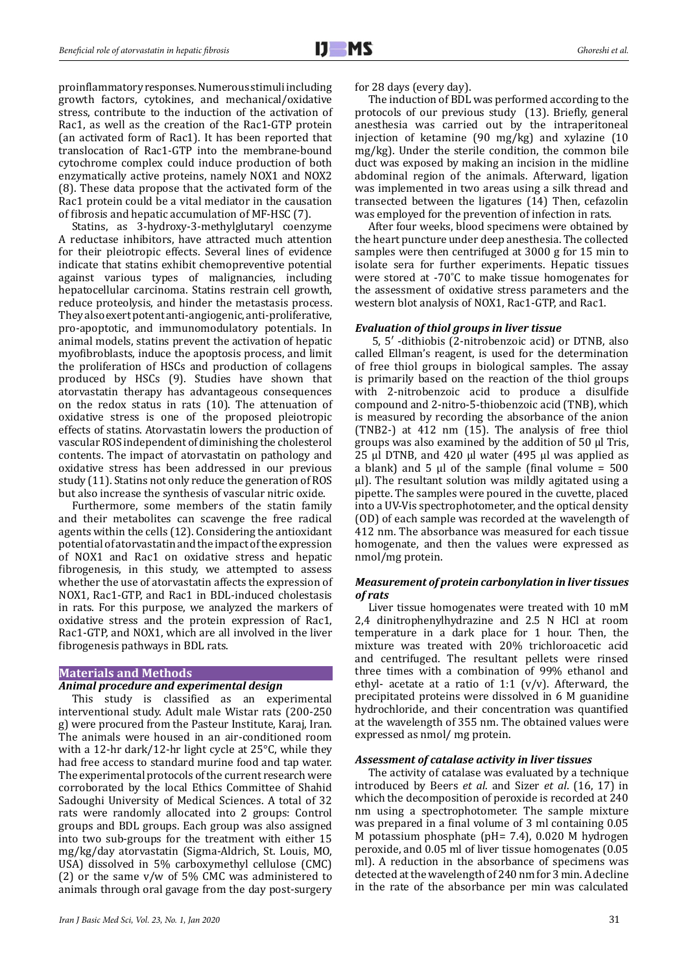proinflammatory responses. Numerous stimuli including growth factors, cytokines, and mechanical/oxidative stress, contribute to the induction of the activation of Rac1, as well as the creation of the Rac1-GTP protein (an activated form of Rac1). It has been reported that translocation of Rac1-GTP into the membrane-bound cytochrome complex could induce production of both enzymatically active proteins, namely NOX1 and NOX2 (8). These data propose that the activated form of the Rac1 protein could be a vital mediator in the causation of fibrosis and hepatic accumulation of MF-HSC (7).

Statins, as 3-hydroxy-3-methylglutaryl coenzyme A reductase inhibitors, have attracted much attention for their pleiotropic effects. Several lines of evidence indicate that statins exhibit chemopreventive potential against various types of malignancies, including hepatocellular carcinoma. Statins restrain cell growth, reduce proteolysis, and hinder the metastasis process. They also exert potent anti-angiogenic, anti-proliferative, pro-apoptotic, and immunomodulatory potentials. In animal models, statins prevent the activation of hepatic myofibroblasts, induce the apoptosis process, and limit the proliferation of HSCs and production of collagens produced by HSCs (9). Studies have shown that atorvastatin therapy has advantageous consequences on the redox status in rats (10). The attenuation of oxidative stress is one of the proposed pleiotropic effects of statins. Atorvastatin lowers the production of vascular ROS independent of diminishing the cholesterol contents. The impact of atorvastatin on pathology and oxidative stress has been addressed in our previous study (11). Statins not only reduce the generation of ROS but also increase the synthesis of vascular nitric oxide.

Furthermore, some members of the statin family and their metabolites can scavenge the free radical agents within the cells (12). Considering the antioxidant potential of atorvastatin and the impact of the expression of NOX1 and Rac1 on oxidative stress and hepatic fibrogenesis, in this study, we attempted to assess whether the use of atorvastatin affects the expression of NOX1, Rac1-GTP, and Rac1 in BDL-induced cholestasis in rats. For this purpose, we analyzed the markers of oxidative stress and the protein expression of Rac1, Rac1-GTP, and NOX1, which are all involved in the liver fibrogenesis pathways in BDL rats.

# **Materials and Methods**

#### *Animal procedure and experimental design*

This study is classified as an experimental interventional study. Adult male Wistar rats (200-250 g) were procured from the Pasteur Institute, Karaj, Iran. The animals were housed in an air-conditioned room with a 12-hr dark/12-hr light cycle at 25°C, while they had free access to standard murine food and tap water. The experimental protocols of the current research were corroborated by the local Ethics Committee of Shahid Sadoughi University of Medical Sciences. A total of 32 rats were randomly allocated into 2 groups: Control groups and BDL groups. Each group was also assigned into two sub-groups for the treatment with either 15 mg/kg/day atorvastatin (Sigma-Aldrich, St. Louis, MO, USA) dissolved in 5% carboxymethyl cellulose (CMC) (2) or the same  $v/w$  of 5% CMC was administered to animals through oral gavage from the day post-surgery

for 28 days (every day).

The induction of BDL was performed according to the protocols of our previous study (13). Briefly, general anesthesia was carried out by the intraperitoneal injection of ketamine (90 mg/kg) and xylazine (10 mg/kg). Under the sterile condition, the common bile duct was exposed by making an incision in the midline abdominal region of the animals. Afterward, ligation was implemented in two areas using a silk thread and transected between the ligatures (14) Then, cefazolin was employed for the prevention of infection in rats.

After four weeks, blood specimens were obtained by the heart puncture under deep anesthesia. The collected samples were then centrifuged at 3000 g for 15 min to isolate sera for further experiments. Hepatic tissues were stored at -70˚C to make tissue homogenates for the assessment of oxidative stress parameters and the western blot analysis of NOX1, Rac1-GTP, and Rac1.

#### *Evaluation of thiol groups in liver tissue*

 5, 5′ -dithiobis (2-nitrobenzoic acid) or DTNB, also called Ellman's reagent, is used for the determination of free thiol groups in biological samples. The assay is primarily based on the reaction of the thiol groups with 2-nitrobenzoic acid to produce a disulfide compound and 2-nitro-5-thiobenzoic acid (TNB), which is measured by recording the absorbance of the anion (TNB2-) at 412 nm (15). The analysis of free thiol groups was also examined by the addition of 50 µl Tris, 25 µl DTNB, and 420 µl water (495 µl was applied as a blank) and  $5 \mu l$  of the sample (final volume =  $500 \mu$ µl). The resultant solution was mildly agitated using a pipette. The samples were poured in the cuvette, placed into a UV-Vis spectrophotometer, and the optical density (OD) of each sample was recorded at the wavelength of 412 nm. The absorbance was measured for each tissue homogenate, and then the values were expressed as nmol/mg protein.

### *Measurement of protein carbonylation in liver tissues of rats*

Liver tissue homogenates were treated with 10 mM 2,4 dinitrophenylhydrazine and 2.5 N HCl at room temperature in a dark place for 1 hour. Then, the mixture was treated with 20% trichloroacetic acid and centrifuged. The resultant pellets were rinsed three times with a combination of 99% ethanol and ethyl- acetate at a ratio of 1:1 ( $v/v$ ). Afterward, the precipitated proteins were dissolved in 6 M guanidine hydrochloride, and their concentration was quantified at the wavelength of 355 nm. The obtained values were expressed as nmol/ mg protein.

#### *Assessment of catalase activity in liver tissues*

The activity of catalase was evaluated by a technique introduced by Beers *et al*. and Sizer *et al*. (16, 17) in which the decomposition of peroxide is recorded at 240 nm using a spectrophotometer. The sample mixture was prepared in a final volume of 3 ml containing 0.05 M potassium phosphate (pH= 7.4), 0.020 M hydrogen peroxide, and 0.05 ml of liver tissue homogenates (0.05 ml). A reduction in the absorbance of specimens was detected at the wavelength of 240 nm for 3 min. A decline in the rate of the absorbance per min was calculated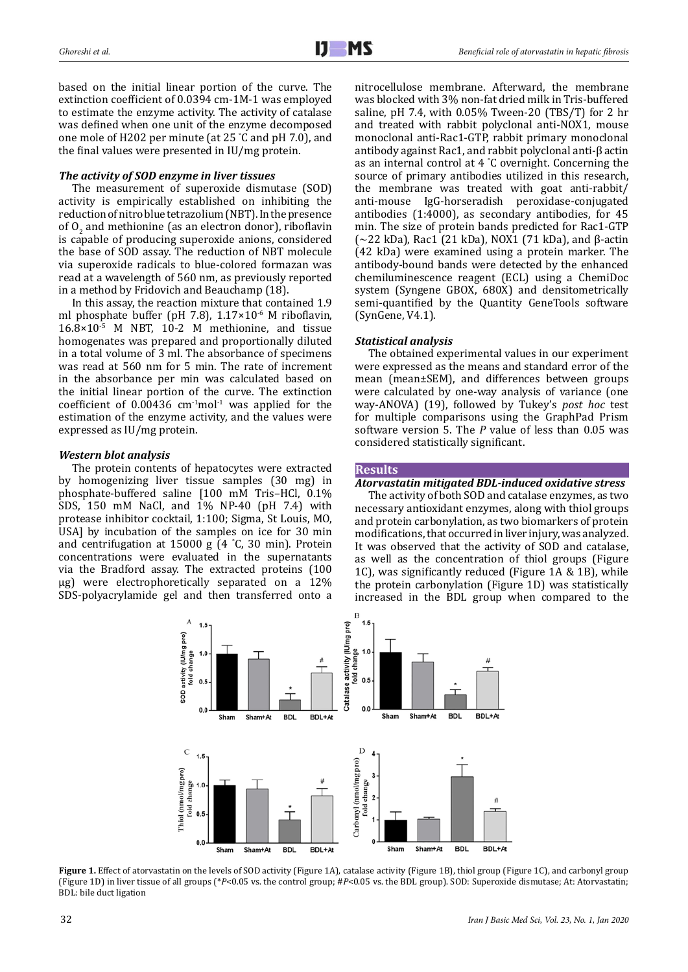based on the initial linear portion of the curve. The extinction coefficient of 0.0394 cm-1M-1 was employed to estimate the enzyme activity. The activity of catalase was defined when one unit of the enzyme decomposed one mole of H202 per minute (at 25 ° C and pH 7.0), and the final values were presented in IU/mg protein.

### *The activity of SOD enzyme in liver tissues*

The measurement of superoxide dismutase (SOD) activity is empirically established on inhibiting the reduction of nitro blue tetrazolium (NBT). In the presence of  $O<sub>2</sub>$  and methionine (as an electron donor), riboflavin is capable of producing superoxide anions, considered the base of SOD assay. The reduction of NBT molecule via superoxide radicals to blue-colored formazan was read at a wavelength of 560 nm, as previously reported in a method by Fridovich and Beauchamp (18).

In this assay, the reaction mixture that contained 1.9 ml phosphate buffer (pH 7.8),  $1.17 \times 10^{-6}$  M riboflavin,  $16.8 \times 10^{-5}$  M NBT, 10-2 M methionine, and tissue homogenates was prepared and proportionally diluted in a total volume of 3 ml. The absorbance of specimens was read at 560 nm for 5 min. The rate of increment in the absorbance per min was calculated based on the initial linear portion of the curve. The extinction coefficient of  $0.00436$  cm<sup>-1</sup>mol<sup>-1</sup> was applied for the estimation of the enzyme activity, and the values were expressed as IU/mg protein.

#### *Western blot analysis*

The protein contents of hepatocytes were extracted by homogenizing liver tissue samples (30 mg) in phosphate-buffered saline [100 mM Tris–HCl, 0.1% SDS, 150 mM NaCl, and 1% NP-40 (pH 7.4) with protease inhibitor cocktail, 1:100; Sigma, St Louis, MO, USA] by incubation of the samples on ice for 30 min and centrifugation at 15000 g (4 ° C, 30 min). Protein concentrations were evaluated in the supernatants via the Bradford assay. The extracted proteins (100 µg) were electrophoretically separated on a 12% SDS-polyacrylamide gel and then transferred onto a

nitrocellulose membrane. Afterward, the membrane was blocked with 3% non-fat dried milk in Tris-buffered saline, pH 7.4, with 0.05% Tween-20 (TBS/T) for 2 hr and treated with rabbit polyclonal anti-NOX1, mouse monoclonal anti-Rac1-GTP, rabbit primary monoclonal antibody against Rac1, and rabbit polyclonal anti-β actin as an internal control at 4 ° C overnight. Concerning the source of primary antibodies utilized in this research, the membrane was treated with goat anti-rabbit/ anti-mouse IgG-horseradish peroxidase-conjugated antibodies (1:4000), as secondary antibodies, for 45 min. The size of protein bands predicted for Rac1-GTP (~22 kDa), Rac1 (21 kDa), NOX1 (71 kDa), and β-actin (42 kDa) were examined using a protein marker. The antibody-bound bands were detected by the enhanced chemiluminescence reagent (ECL) using a ChemiDoc system (Syngene GBOX, 680X) and densitometrically semi-quantified by the Quantity GeneTools software (SynGene, V4.1).

# *Statistical analysis*

The obtained experimental values in our experiment were expressed as the means and standard error of the mean (mean±SEM), and differences between groups were calculated by one-way analysis of variance (one way-ANOVA) (19), followed by Tukey's *post hoc* test for multiple comparisons using the GraphPad Prism software version 5. The *P* value of less than 0.05 was considered statistically significant.

#### **Results**

### *Atorvastatin mitigated BDL-induced oxidative stress*

The activity of both SOD and catalase enzymes, as two necessary antioxidant enzymes, along with thiol groups and protein carbonylation, as two biomarkers of protein modifications, that occurred in liver injury, was analyzed. It was observed that the activity of SOD and catalase, as well as the concentration of thiol groups (Figure 1C), was significantly reduced (Figure 1A & 1B), while the protein carbonylation (Figure 1D) was statistically increased in the BDL group when compared to the



**Figure 1.** Effect of atorvastatin on the levels of SOD activity (Figure 1A), catalase activity (Figure 1B), thiol group (Figure 1C), and carbonyl group (Figure 1D) in liver tissue of all groups (\**P*<0.05 vs. the control group; #*P*<0.05 vs. the BDL group). SOD: Superoxide dismutase; At: Atorvastatin; BDL: bile duct ligation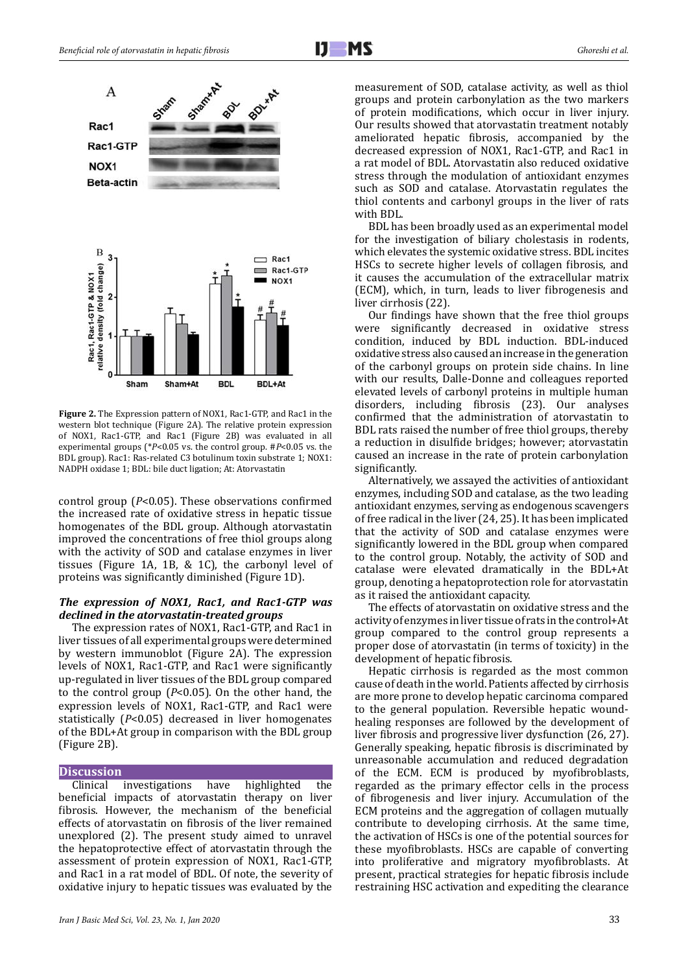

**Figure 2.** The Expression pattern of NOX1, Rac1-GTP, and Rac1 in the western blot technique (Figure 2A). The relative protein expression of NOX1, Rac1-GTP, and Rac1 (Figure 2B) was evaluated in all experimental groups (\**P*<0.05 vs. the control group. #*P*<0.05 vs. the BDL group). Rac1: Ras-related C3 botulinum toxin substrate 1; NOX1: NADPH oxidase 1; BDL: bile duct ligation; At: Atorvastatin

control group (*P*<0.05). These observations confirmed the increased rate of oxidative stress in hepatic tissue homogenates of the BDL group. Although atorvastatin improved the concentrations of free thiol groups along with the activity of SOD and catalase enzymes in liver tissues (Figure 1A, 1B, & 1C), the carbonyl level of proteins was significantly diminished (Figure 1D).

# *The expression of NOX1, Rac1, and Rac1-GTP was declined in the atorvastatin-treated groups*

The expression rates of NOX1, Rac1-GTP, and Rac1 in liver tissues of all experimental groups were determined by western immunoblot (Figure 2A). The expression levels of NOX1, Rac1-GTP, and Rac1 were significantly up-regulated in liver tissues of the BDL group compared to the control group (*P*<0.05). On the other hand, the expression levels of NOX1, Rac1-GTP, and Rac1 were statistically (*P*<0.05) decreased in liver homogenates of the BDL+At group in comparison with the BDL group (Figure 2B).

# **Discussion**

Clinical investigations have highlighted the beneficial impacts of atorvastatin therapy on liver fibrosis. However, the mechanism of the beneficial effects of atorvastatin on fibrosis of the liver remained unexplored (2). The present study aimed to unravel the hepatoprotective effect of atorvastatin through the assessment of protein expression of NOX1, Rac1-GTP, and Rac1 in a rat model of BDL. Of note, the severity of oxidative injury to hepatic tissues was evaluated by the

measurement of SOD, catalase activity, as well as thiol groups and protein carbonylation as the two markers of protein modifications, which occur in liver injury. Our results showed that atorvastatin treatment notably ameliorated hepatic fibrosis, accompanied by the decreased expression of NOX1, Rac1-GTP, and Rac1 in a rat model of BDL. Atorvastatin also reduced oxidative stress through the modulation of antioxidant enzymes such as SOD and catalase. Atorvastatin regulates the thiol contents and carbonyl groups in the liver of rats with BDL.

BDL has been broadly used as an experimental model for the investigation of biliary cholestasis in rodents, which elevates the systemic oxidative stress. BDL incites HSCs to secrete higher levels of collagen fibrosis, and it causes the accumulation of the extracellular matrix (ECM), which, in turn, leads to liver fibrogenesis and liver cirrhosis (22).

Our findings have shown that the free thiol groups were significantly decreased in oxidative stress condition, induced by BDL induction. BDL-induced oxidative stress also caused an increase in the generation of the carbonyl groups on protein side chains. In line with our results, Dalle-Donne and colleagues reported elevated levels of carbonyl proteins in multiple human disorders, including fibrosis (23). Our analyses confirmed that the administration of atorvastatin to BDL rats raised the number of free thiol groups, thereby a reduction in disulfide bridges; however; atorvastatin caused an increase in the rate of protein carbonylation significantly.

Alternatively, we assayed the activities of antioxidant enzymes, including SOD and catalase, as the two leading antioxidant enzymes, serving as endogenous scavengers of free radical in the liver (24, 25). It has been implicated that the activity of SOD and catalase enzymes were significantly lowered in the BDL group when compared to the control group. Notably, the activity of SOD and catalase were elevated dramatically in the BDL+At group, denoting a hepatoprotection role for atorvastatin as it raised the antioxidant capacity.

The effects of atorvastatin on oxidative stress and the activity of enzymes in liver tissue of rats in the control+At group compared to the control group represents a proper dose of atorvastatin (in terms of toxicity) in the development of hepatic fibrosis.

Hepatic cirrhosis is regarded as the most common cause of death in the world. Patients affected by cirrhosis are more prone to develop hepatic carcinoma compared to the general population. Reversible hepatic woundhealing responses are followed by the development of liver fibrosis and progressive liver dysfunction (26, 27). Generally speaking, hepatic fibrosis is discriminated by unreasonable accumulation and reduced degradation of the ECM. ECM is produced by myofibroblasts, regarded as the primary effector cells in the process of fibrogenesis and liver injury. Accumulation of the ECM proteins and the aggregation of collagen mutually contribute to developing cirrhosis. At the same time, the activation of HSCs is one of the potential sources for these myofibroblasts. HSCs are capable of converting into proliferative and migratory myofibroblasts. At present, practical strategies for hepatic fibrosis include restraining HSC activation and expediting the clearance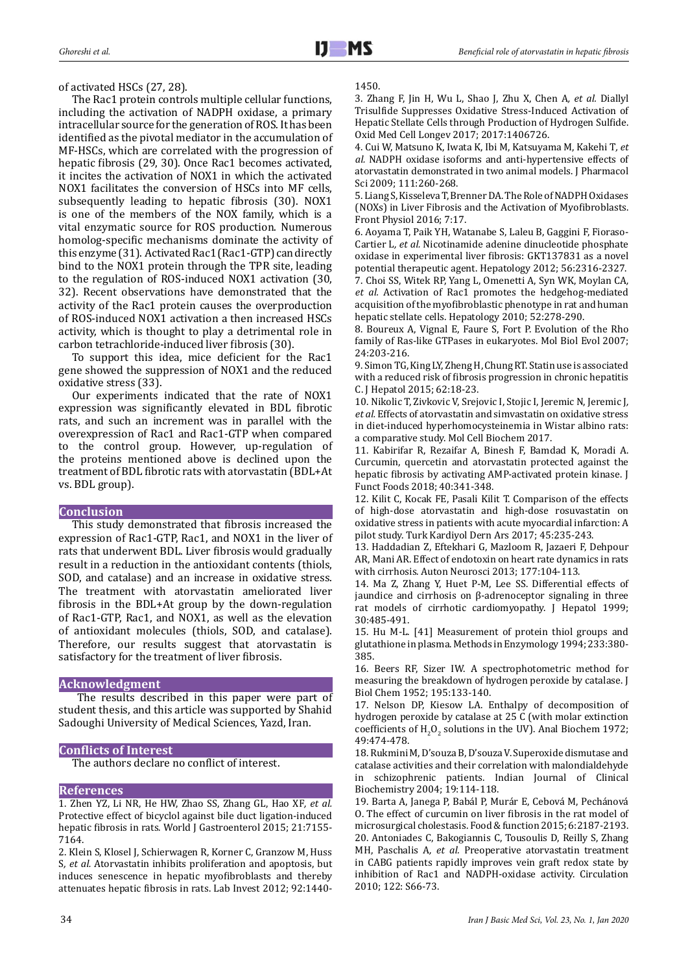#### of activated HSCs (27, 28).

The Rac1 protein controls multiple cellular functions, including the activation of NADPH oxidase, a primary intracellular source for the generation of ROS. It has been identified as the pivotal mediator in the accumulation of MF-HSCs, which are correlated with the progression of hepatic fibrosis (29, 30). Once Rac1 becomes activated, it incites the activation of NOX1 in which the activated NOX1 facilitates the conversion of HSCs into MF cells, subsequently leading to hepatic fibrosis (30). NOX1 is one of the members of the NOX family, which is a vital enzymatic source for ROS production. Numerous homolog-specific mechanisms dominate the activity of this enzyme (31). Activated Rac1 (Rac1-GTP) can directly bind to the NOX1 protein through the TPR site, leading to the regulation of ROS-induced NOX1 activation (30, 32). Recent observations have demonstrated that the activity of the Rac1 protein causes the overproduction of ROS-induced NOX1 activation a then increased HSCs activity, which is thought to play a detrimental role in carbon tetrachloride-induced liver fibrosis (30).

To support this idea, mice deficient for the Rac1 gene showed the suppression of NOX1 and the reduced oxidative stress (33).

Our experiments indicated that the rate of NOX1 expression was significantly elevated in BDL fibrotic rats, and such an increment was in parallel with the overexpression of Rac1 and Rac1-GTP when compared to the control group. However, up-regulation of the proteins mentioned above is declined upon the treatment of BDL fibrotic rats with atorvastatin (BDL+At vs. BDL group).

# **Conclusion**

This study demonstrated that fibrosis increased the expression of Rac1-GTP, Rac1, and NOX1 in the liver of rats that underwent BDL. Liver fibrosis would gradually result in a reduction in the antioxidant contents (thiols, SOD, and catalase) and an increase in oxidative stress. The treatment with atorvastatin ameliorated liver fibrosis in the BDL+At group by the down-regulation of Rac1-GTP, Rac1, and NOX1, as well as the elevation of antioxidant molecules (thiols, SOD, and catalase). Therefore, our results suggest that atorvastatin is satisfactory for the treatment of liver fibrosis.

### **Acknowledgment**

 The results described in this paper were part of student thesis, and this article was supported by Shahid Sadoughi University of Medical Sciences, Yazd, Iran.

# **Conflicts of Interest**

The authors declare no conflict of interest.

# **References**

1. Zhen YZ, Li NR, He HW, Zhao SS, Zhang GL, Hao XF*, et al.* Protective effect of bicyclol against bile duct ligation-induced hepatic fibrosis in rats. World J Gastroenterol 2015; 21:7155-7164.

2. Klein S, Klosel J, Schierwagen R, Korner C, Granzow M, Huss S*, et al.* Atorvastatin inhibits proliferation and apoptosis, but induces senescence in hepatic myofibroblasts and thereby attenuates hepatic fibrosis in rats. Lab Invest 2012; 92:1440-

### 1450.

3. Zhang F, Jin H, Wu L, Shao J, Zhu X, Chen A*, et al.* Diallyl Trisulfide Suppresses Oxidative Stress-Induced Activation of Hepatic Stellate Cells through Production of Hydrogen Sulfide. Oxid Med Cell Longev 2017; 2017:1406726.

4. Cui W, Matsuno K, Iwata K, Ibi M, Katsuyama M, Kakehi T*, et al.* NADPH oxidase isoforms and anti-hypertensive effects of atorvastatin demonstrated in two animal models. J Pharmacol Sci 2009; 111:260-268.

5. Liang S, Kisseleva T, Brenner DA. The Role of NADPH Oxidases (NOXs) in Liver Fibrosis and the Activation of Myofibroblasts. Front Physiol 2016; 7:17.

6. Aoyama T, Paik YH, Watanabe S, Laleu B, Gaggini F, Fioraso-Cartier L*, et al.* Nicotinamide adenine dinucleotide phosphate oxidase in experimental liver fibrosis: GKT137831 as a novel potential therapeutic agent. Hepatology 2012; 56:2316-2327. 7. Choi SS, Witek RP, Yang L, Omenetti A, Syn WK, Moylan CA*, et al.* Activation of Rac1 promotes the hedgehog-mediated acquisition of the myofibroblastic phenotype in rat and human hepatic stellate cells. Hepatology 2010; 52:278-290.

8. Boureux A, Vignal E, Faure S, Fort P. Evolution of the Rho family of Ras-like GTPases in eukaryotes. Mol Biol Evol 2007; 24:203-216.

9. Simon TG, King LY, Zheng H, Chung RT. Statin use is associated with a reduced risk of fibrosis progression in chronic hepatitis C. J Hepatol 2015; 62:18-23.

10. Nikolic T, Zivkovic V, Srejovic I, Stojic I, Jeremic N, Jeremic J*, et al.* Effects of atorvastatin and simvastatin on oxidative stress in diet-induced hyperhomocysteinemia in Wistar albino rats: a comparative study. Mol Cell Biochem 2017.

11. Kabirifar R, Rezaifar A, Binesh F, Bamdad K, Moradi A. Curcumin, quercetin and atorvastatin protected against the hepatic fibrosis by activating AMP-activated protein kinase. J Funct Foods 2018; 40:341-348.

12. Kilit C, Kocak FE, Pasali Kilit T. Comparison of the effects of high-dose atorvastatin and high-dose rosuvastatin on oxidative stress in patients with acute myocardial infarction: A pilot study. Turk Kardiyol Dern Ars 2017; 45:235-243.

13. Haddadian Z, Eftekhari G, Mazloom R, Jazaeri F, Dehpour AR, Mani AR. Effect of endotoxin on heart rate dynamics in rats with cirrhosis. Auton Neurosci 2013; 177:104-113.

14. Ma Z, Zhang Y, Huet P-M, Lee SS. Differential effects of jaundice and cirrhosis on β-adrenoceptor signaling in three rat models of cirrhotic cardiomyopathy. J Hepatol 1999; 30:485-491.

15. Hu M-L. [41] Measurement of protein thiol groups and glutathione in plasma. Methods in Enzymology 1994; 233:380- 385.

16. Beers RF, Sizer IW. A spectrophotometric method for measuring the breakdown of hydrogen peroxide by catalase. J Biol Chem 1952; 195:133-140.

17. Nelson DP, Kiesow LA. Enthalpy of decomposition of hydrogen peroxide by catalase at 25 C (with molar extinction coefficients of  $H_2O_2$  solutions in the UV). Anal Biochem 1972; 49:474-478.

18. Rukmini M, D'souza B, D'souza V. Superoxide dismutase and catalase activities and their correlation with malondialdehyde in schizophrenic patients. Indian Journal of Clinical Biochemistry 2004; 19:114-118.

19. Barta A, Janega P, Babál P, Murár E, Cebová M, Pechánová O. The effect of curcumin on liver fibrosis in the rat model of microsurgical cholestasis. Food & function 2015; 6:2187-2193. 20. Antoniades C, Bakogiannis C, Tousoulis D, Reilly S, Zhang MH, Paschalis A*, et al.* Preoperative atorvastatin treatment in CABG patients rapidly improves vein graft redox state by inhibition of Rac1 and NADPH-oxidase activity. Circulation 2010; 122: S66-73.